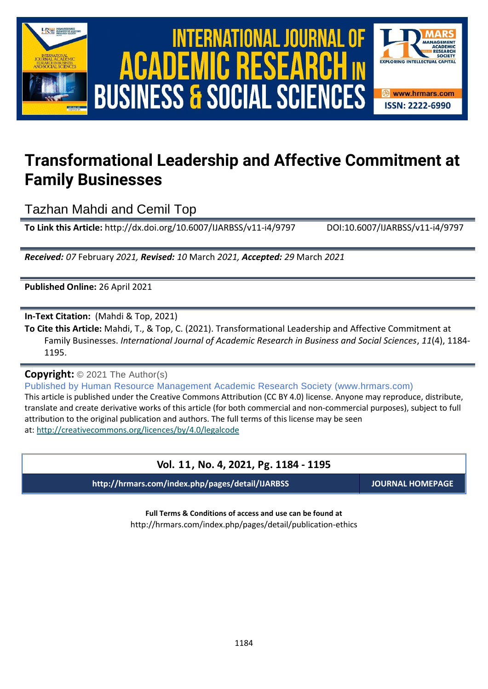

International Journal of Academic Research in Business and Social Sciences **Vol. 1 1 , No. 4, 2021, E-ISSN: 2222-6990 © 2021 HRMARS ACADEMIC BUSINESS & SOCIAL SCIENCES** 



# **Transformational Leadership and Affective Commitment at Family Businesses**

Tazhan Mahdi and Cemil Top

**To Link this Article:** http://dx.doi.org/10.6007/IJARBSS/v11-i4/9797 DOI:10.6007/IJARBSS/v11-i4/9797

*Received: 07* February *2021, Revised: 10* March *2021, Accepted: 29* March *2021*

**Published Online:** 26 April 2021

**In-Text Citation:** (Mahdi & Top, 2021)

**To Cite this Article:** Mahdi, T., & Top, C. (2021). Transformational Leadership and Affective Commitment at Family Businesses. *International Journal of Academic Research in Business and Social Sciences*, *11*(4), 1184- 1195.

**Copyright:** © 2021 The Author(s)

Published by Human Resource Management Academic Research Society (www.hrmars.com) This article is published under the Creative Commons Attribution (CC BY 4.0) license. Anyone may reproduce, distribute, translate and create derivative works of this article (for both commercial and non-commercial purposes), subject to full attribution to the original publication and authors. The full terms of this license may be seen at: <http://creativecommons.org/licences/by/4.0/legalcode>

## **Vol. 11, No. 4, 2021, Pg. 1184 - 1195**

**http://hrmars.com/index.php/pages/detail/IJARBSS JOURNAL HOMEPAGE**

**Full Terms & Conditions of access and use can be found at** http://hrmars.com/index.php/pages/detail/publication-ethics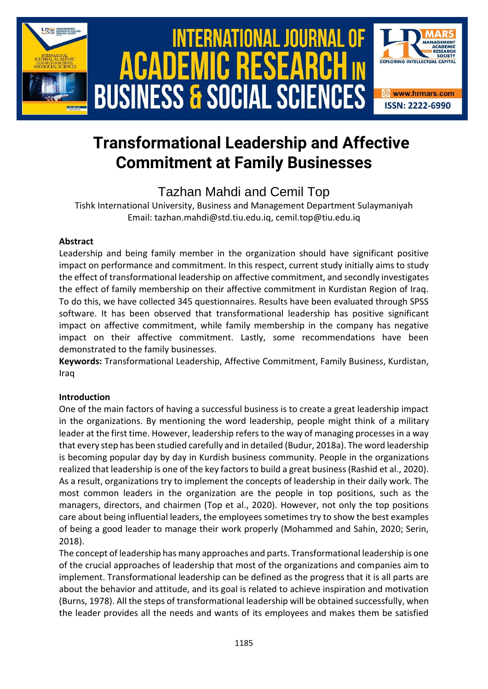

# **Transformational Leadership and Affective Commitment at Family Businesses**

# Tazhan Mahdi and Cemil Top

Tishk International University, Business and Management Department Sulaymaniyah Email: tazhan.mahdi@std.tiu.edu.iq, cemil.top@tiu.edu.iq

#### **Abstract**

Leadership and being family member in the organization should have significant positive impact on performance and commitment. In this respect, current study initially aims to study the effect of transformational leadership on affective commitment, and secondly investigates the effect of family membership on their affective commitment in Kurdistan Region of Iraq. To do this, we have collected 345 questionnaires. Results have been evaluated through SPSS software. It has been observed that transformational leadership has positive significant impact on affective commitment, while family membership in the company has negative impact on their affective commitment. Lastly, some recommendations have been demonstrated to the family businesses.

**Keywords:** Transformational Leadership, Affective Commitment, Family Business, Kurdistan, Iraq

#### **Introduction**

One of the main factors of having a successful business is to create a great leadership impact in the organizations. By mentioning the word leadership, people might think of a military leader at the first time. However, leadership refers to the way of managing processes in a way that every step has been studied carefully and in detailed (Budur, 2018a). The word leadership is becoming popular day by day in Kurdish business community. People in the organizations realized that leadership is one of the key factors to build a great business (Rashid et al., 2020). As a result, organizations try to implement the concepts of leadership in their daily work. The most common leaders in the organization are the people in top positions, such as the managers, directors, and chairmen (Top et al., 2020). However, not only the top positions care about being influential leaders, the employees sometimes try to show the best examples of being a good leader to manage their work properly (Mohammed and Sahin, 2020; Serin, 2018).

The concept of leadership has many approaches and parts. Transformational leadership is one of the crucial approaches of leadership that most of the organizations and companies aim to implement. Transformational leadership can be defined as the progress that it is all parts are about the behavior and attitude, and its goal is related to achieve inspiration and motivation (Burns, 1978). All the steps of transformational leadership will be obtained successfully, when the leader provides all the needs and wants of its employees and makes them be satisfied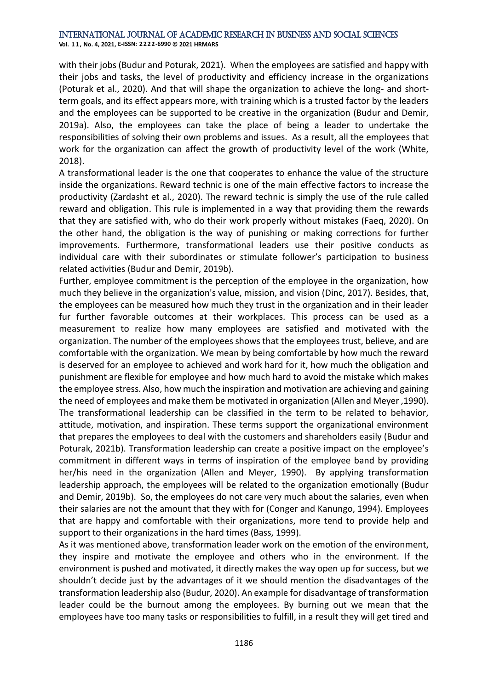**Vol. 1 1 , No. 4, 2021, E-ISSN: 2222-6990 © 2021 HRMARS**

with their jobs (Budur and Poturak, 2021). When the employees are satisfied and happy with their jobs and tasks, the level of productivity and efficiency increase in the organizations (Poturak et al., 2020). And that will shape the organization to achieve the long- and shortterm goals, and its effect appears more, with training which is a trusted factor by the leaders and the employees can be supported to be creative in the organization (Budur and Demir, 2019a). Also, the employees can take the place of being a leader to undertake the responsibilities of solving their own problems and issues. As a result, all the employees that work for the organization can affect the growth of productivity level of the work (White, 2018).

A transformational leader is the one that cooperates to enhance the value of the structure inside the organizations. Reward technic is one of the main effective factors to increase the productivity (Zardasht et al., 2020). The reward technic is simply the use of the rule called reward and obligation. This rule is implemented in a way that providing them the rewards that they are satisfied with, who do their work properly without mistakes (Faeq, 2020). On the other hand, the obligation is the way of punishing or making corrections for further improvements. Furthermore, transformational leaders use their positive conducts as individual care with their subordinates or stimulate follower's participation to business related activities (Budur and Demir, 2019b).

Further, employee commitment is the perception of the employee in the organization, how much they believe in the organization's value, mission, and vision (Dinc, 2017). Besides, that, the employees can be measured how much they trust in the organization and in their leader fur further favorable outcomes at their workplaces. This process can be used as a measurement to realize how many employees are satisfied and motivated with the organization. The number of the employees shows that the employees trust, believe, and are comfortable with the organization. We mean by being comfortable by how much the reward is deserved for an employee to achieved and work hard for it, how much the obligation and punishment are flexible for employee and how much hard to avoid the mistake which makes the employee stress. Also, how much the inspiration and motivation are achieving and gaining the need of employees and make them be motivated in organization (Allen and Meyer ,1990). The transformational leadership can be classified in the term to be related to behavior, attitude, motivation, and inspiration. These terms support the organizational environment that prepares the employees to deal with the customers and shareholders easily (Budur and Poturak, 2021b). Transformation leadership can create a positive impact on the employee's commitment in different ways in terms of inspiration of the employee band by providing her/his need in the organization (Allen and Meyer, 1990). By applying transformation leadership approach, the employees will be related to the organization emotionally (Budur and Demir, 2019b). So, the employees do not care very much about the salaries, even when their salaries are not the amount that they with for (Conger and Kanungo, 1994). Employees that are happy and comfortable with their organizations, more tend to provide help and support to their organizations in the hard times (Bass, 1999).

As it was mentioned above, transformation leader work on the emotion of the environment, they inspire and motivate the employee and others who in the environment. If the environment is pushed and motivated, it directly makes the way open up for success, but we shouldn't decide just by the advantages of it we should mention the disadvantages of the transformation leadership also (Budur, 2020). An example for disadvantage of transformation leader could be the burnout among the employees. By burning out we mean that the employees have too many tasks or responsibilities to fulfill, in a result they will get tired and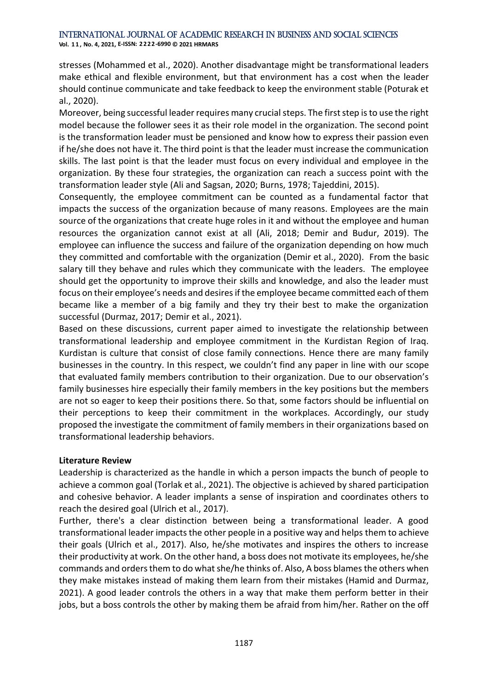**Vol. 1 1 , No. 4, 2021, E-ISSN: 2222-6990 © 2021 HRMARS**

stresses (Mohammed et al., 2020). Another disadvantage might be transformational leaders make ethical and flexible environment, but that environment has a cost when the leader should continue communicate and take feedback to keep the environment stable (Poturak et al., 2020).

Moreover, being successful leader requires many crucial steps. The first step is to use the right model because the follower sees it as their role model in the organization. The second point is the transformation leader must be pensioned and know how to express their passion even if he/she does not have it. The third point is that the leader must increase the communication skills. The last point is that the leader must focus on every individual and employee in the organization. By these four strategies, the organization can reach a success point with the transformation leader style (Ali and Sagsan, 2020; Burns, 1978; Tajeddini, 2015).

Consequently, the employee commitment can be counted as a fundamental factor that impacts the success of the organization because of many reasons. Employees are the main source of the organizations that create huge roles in it and without the employee and human resources the organization cannot exist at all (Ali, 2018; Demir and Budur, 2019). The employee can influence the success and failure of the organization depending on how much they committed and comfortable with the organization (Demir et al., 2020). From the basic salary till they behave and rules which they communicate with the leaders. The employee should get the opportunity to improve their skills and knowledge, and also the leader must focus on their employee's needs and desires if the employee became committed each of them became like a member of a big family and they try their best to make the organization successful (Durmaz, 2017; Demir et al., 2021).

Based on these discussions, current paper aimed to investigate the relationship between transformational leadership and employee commitment in the Kurdistan Region of Iraq. Kurdistan is culture that consist of close family connections. Hence there are many family businesses in the country. In this respect, we couldn't find any paper in line with our scope that evaluated family members contribution to their organization. Due to our observation's family businesses hire especially their family members in the key positions but the members are not so eager to keep their positions there. So that, some factors should be influential on their perceptions to keep their commitment in the workplaces. Accordingly, our study proposed the investigate the commitment of family members in their organizations based on transformational leadership behaviors.

#### **Literature Review**

Leadership is characterized as the handle in which a person impacts the bunch of people to achieve a common goal (Torlak et al., 2021). The objective is achieved by shared participation and cohesive behavior. A leader implants a sense of inspiration and coordinates others to reach the desired goal (Ulrich et al., 2017).

Further, there's a clear distinction between being a transformational leader. A good transformational leader impacts the other people in a positive way and helps them to achieve their goals (Ulrich et al., 2017). Also, he/she motivates and inspires the others to increase their productivity at work. On the other hand, a boss does not motivate its employees, he/she commands and orders them to do what she/he thinks of. Also, A boss blames the others when they make mistakes instead of making them learn from their mistakes (Hamid and Durmaz, 2021). A good leader controls the others in a way that make them perform better in their jobs, but a boss controls the other by making them be afraid from him/her. Rather on the off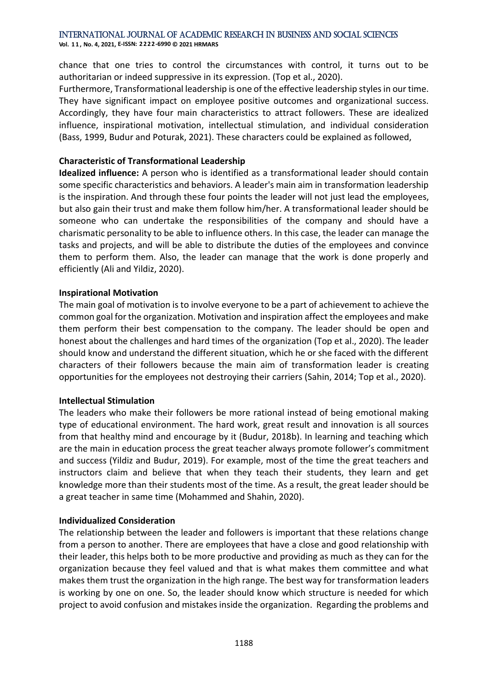**Vol. 1 1 , No. 4, 2021, E-ISSN: 2222-6990 © 2021 HRMARS**

chance that one tries to control the circumstances with control, it turns out to be authoritarian or indeed suppressive in its expression. (Top et al., 2020).

Furthermore, Transformational leadership is one of the effective leadership styles in our time. They have significant impact on employee positive outcomes and organizational success. Accordingly, they have four main characteristics to attract followers. These are idealized influence, inspirational motivation, intellectual stimulation, and individual consideration (Bass, 1999, Budur and Poturak, 2021). These characters could be explained as followed,

#### **Characteristic of Transformational Leadership**

**Idealized influence:** A person who is identified as a transformational leader should contain some specific characteristics and behaviors. A leader's main aim in transformation leadership is the inspiration. And through these four points the leader will not just lead the employees, but also gain their trust and make them follow him/her. A transformational leader should be someone who can undertake the responsibilities of the company and should have a charismatic personality to be able to influence others. In this case, the leader can manage the tasks and projects, and will be able to distribute the duties of the employees and convince them to perform them. Also, the leader can manage that the work is done properly and efficiently (Ali and Yildiz, 2020).

#### **Inspirational Motivation**

The main goal of motivation is to involve everyone to be a part of achievement to achieve the common goal for the organization. Motivation and inspiration affect the employees and make them perform their best compensation to the company. The leader should be open and honest about the challenges and hard times of the organization (Top et al., 2020). The leader should know and understand the different situation, which he or she faced with the different characters of their followers because the main aim of transformation leader is creating opportunities for the employees not destroying their carriers (Sahin, 2014; Top et al., 2020).

#### **Intellectual Stimulation**

The leaders who make their followers be more rational instead of being emotional making type of educational environment. The hard work, great result and innovation is all sources from that healthy mind and encourage by it (Budur, 2018b). In learning and teaching which are the main in education process the great teacher always promote follower's commitment and success (Yildiz and Budur, 2019). For example, most of the time the great teachers and instructors claim and believe that when they teach their students, they learn and get knowledge more than their students most of the time. As a result, the great leader should be a great teacher in same time (Mohammed and Shahin, 2020).

#### **Individualized Consideration**

The relationship between the leader and followers is important that these relations change from a person to another. There are employees that have a close and good relationship with their leader, this helps both to be more productive and providing as much as they can for the organization because they feel valued and that is what makes them committee and what makes them trust the organization in the high range. The best way for transformation leaders is working by one on one. So, the leader should know which structure is needed for which project to avoid confusion and mistakes inside the organization. Regarding the problems and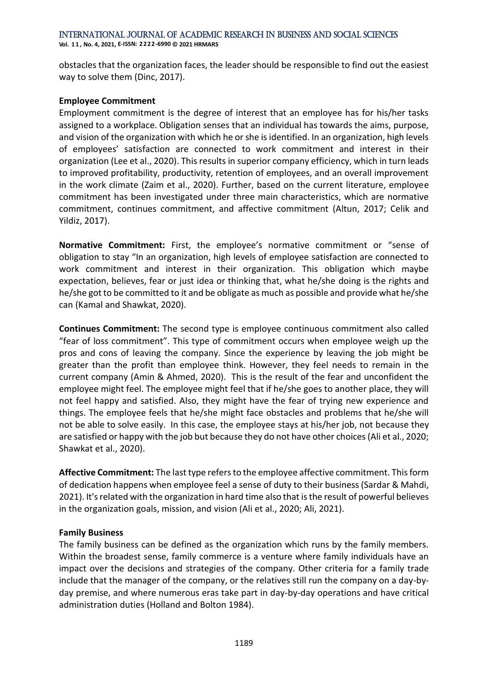International Journal of Academic Research in Business and Social Sciences **Vol. 1 1 , No. 4, 2021, E-ISSN: 2222-6990 © 2021 HRMARS**

obstacles that the organization faces, the leader should be responsible to find out the easiest way to solve them (Dinc, 2017).

#### **Employee Commitment**

Employment commitment is the degree of interest that an employee has for his/her tasks assigned to a workplace. Obligation senses that an individual has towards the aims, purpose, and vision of the organization with which he or she is identified. In an organization, high levels of employees' satisfaction are connected to work commitment and interest in their organization (Lee et al., 2020). This results in superior company efficiency, which in turn leads to improved profitability, productivity, retention of employees, and an overall improvement in the work climate (Zaim et al., 2020). Further, based on the current literature, employee commitment has been investigated under three main characteristics, which are normative commitment, continues commitment, and affective commitment (Altun, 2017; Celik and Yildiz, 2017).

**Normative Commitment:** First, the employee's normative commitment or "sense of obligation to stay "In an organization, high levels of employee satisfaction are connected to work commitment and interest in their organization. This obligation which maybe expectation, believes, fear or just idea or thinking that, what he/she doing is the rights and he/she got to be committed to it and be obligate as much as possible and provide what he/she can (Kamal and Shawkat, 2020).

**Continues Commitment:** The second type is employee continuous commitment also called "fear of loss commitment". This type of commitment occurs when employee weigh up the pros and cons of leaving the company. Since the experience by leaving the job might be greater than the profit than employee think. However, they feel needs to remain in the current company (Amin & Ahmed, 2020). This is the result of the fear and unconfident the employee might feel. The employee might feel that if he/she goes to another place, they will not feel happy and satisfied. Also, they might have the fear of trying new experience and things. The employee feels that he/she might face obstacles and problems that he/she will not be able to solve easily. In this case, the employee stays at his/her job, not because they are satisfied or happy with the job but because they do not have other choices (Ali et al., 2020; Shawkat et al., 2020).

**Affective Commitment:** The last type refers to the employee affective commitment. This form of dedication happens when employee feel a sense of duty to their business (Sardar & Mahdi, 2021). It's related with the organization in hard time also that is the result of powerful believes in the organization goals, mission, and vision (Ali et al., 2020; Ali, 2021).

#### **Family Business**

The family business can be defined as the organization which runs by the family members. Within the broadest sense, family commerce is a venture where family individuals have an impact over the decisions and strategies of the company. Other criteria for a family trade include that the manager of the company, or the relatives still run the company on a day-byday premise, and where numerous eras take part in day-by-day operations and have critical administration duties (Holland and Bolton 1984).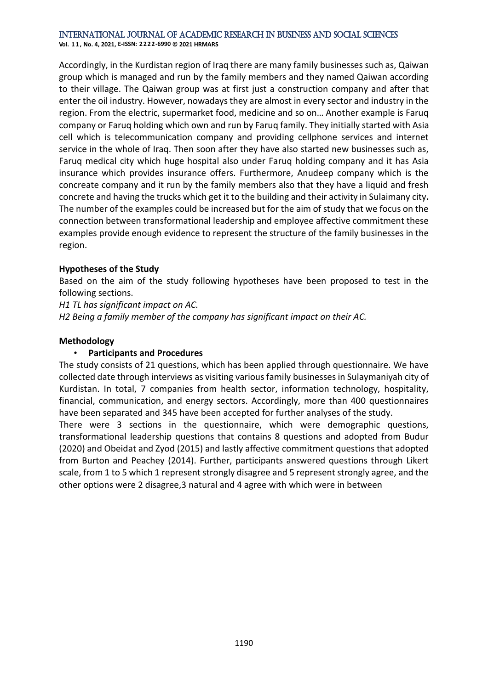**Vol. 1 1 , No. 4, 2021, E-ISSN: 2222-6990 © 2021 HRMARS**

Accordingly, in the Kurdistan region of Iraq there are many family businesses such as, Qaiwan group which is managed and run by the family members and they named Qaiwan according to their village. The Qaiwan group was at first just a construction company and after that enter the oil industry. However, nowadays they are almost in every sector and industry in the region. From the electric, supermarket food, medicine and so on… Another example is Faruq company or Faruq holding which own and run by Faruq family. They initially started with Asia cell which is telecommunication company and providing cellphone services and internet service in the whole of Iraq. Then soon after they have also started new businesses such as, Faruq medical city which huge hospital also under Faruq holding company and it has Asia insurance which provides insurance offers. Furthermore, Anudeep company which is the concreate company and it run by the family members also that they have a liquid and fresh concrete and having the trucks which get it to the building and their activity in Sulaimany city**.**  The number of the examples could be increased but for the aim of study that we focus on the connection between transformational leadership and employee affective commitment these examples provide enough evidence to represent the structure of the family businesses in the region.

#### **Hypotheses of the Study**

Based on the aim of the study following hypotheses have been proposed to test in the following sections.

*H1 TL has significant impact on AC.*

*H2 Being a family member of the company has significant impact on their AC.*

#### **Methodology**

#### • **Participants and Procedures**

The study consists of 21 questions, which has been applied through questionnaire. We have collected date through interviews as visiting various family businesses in Sulaymaniyah city of Kurdistan. In total, 7 companies from health sector, information technology, hospitality, financial, communication, and energy sectors. Accordingly, more than 400 questionnaires have been separated and 345 have been accepted for further analyses of the study.

There were 3 sections in the questionnaire, which were demographic questions, transformational leadership questions that contains 8 questions and adopted from Budur (2020) and Obeidat and Zyod (2015) and lastly affective commitment questions that adopted from Burton and Peachey (2014). Further, participants answered questions through Likert scale, from 1 to 5 which 1 represent strongly disagree and 5 represent strongly agree, and the other options were 2 disagree,3 natural and 4 agree with which were in between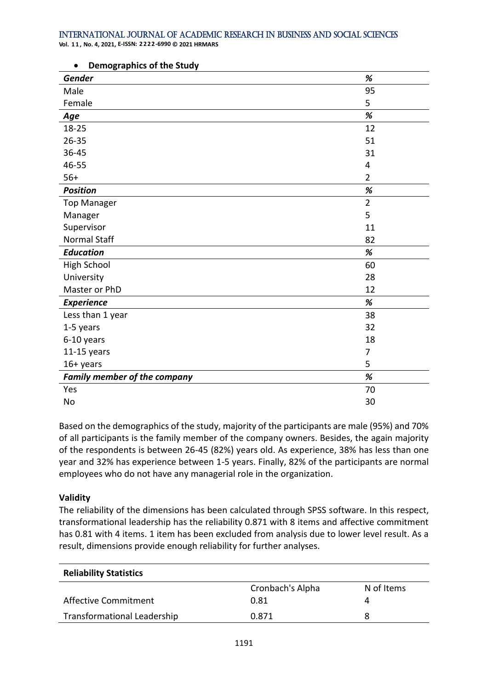**Vol. 1 1 , No. 4, 2021, E-ISSN: 2222-6990 © 2021 HRMARS**

| Gender                              | %              |
|-------------------------------------|----------------|
| Male                                | 95             |
| Female                              | 5              |
| Age                                 | %              |
| 18-25                               | 12             |
| $26 - 35$                           | 51             |
| 36-45                               | 31             |
| 46-55                               | 4              |
| $56+$                               | $\overline{2}$ |
| <b>Position</b>                     | %              |
| <b>Top Manager</b>                  | $\overline{2}$ |
| Manager                             | 5              |
| Supervisor                          | 11             |
| <b>Normal Staff</b>                 | 82             |
| <b>Education</b>                    | $\%$           |
| High School                         | 60             |
| University                          | 28             |
| Master or PhD                       | 12             |
| <b>Experience</b>                   | %              |
| Less than 1 year                    | 38             |
| 1-5 years                           | 32             |
| 6-10 years                          | 18             |
| 11-15 years                         | 7              |
| 16+ years                           | 5              |
| <b>Family member of the company</b> | $\%$           |
| Yes                                 | 70             |
| No                                  | 30             |

#### • **Demographics of the Study**

Based on the demographics of the study, majority of the participants are male (95%) and 70% of all participants is the family member of the company owners. Besides, the again majority of the respondents is between 26-45 (82%) years old. As experience, 38% has less than one year and 32% has experience between 1-5 years. Finally, 82% of the participants are normal employees who do not have any managerial role in the organization.

#### **Validity**

The reliability of the dimensions has been calculated through SPSS software. In this respect, transformational leadership has the reliability 0.871 with 8 items and affective commitment has 0.81 with 4 items. 1 item has been excluded from analysis due to lower level result. As a result, dimensions provide enough reliability for further analyses.

| <b>Reliability Statistics</b> |                  |            |  |  |  |  |  |
|-------------------------------|------------------|------------|--|--|--|--|--|
|                               | Cronbach's Alpha | N of Items |  |  |  |  |  |
| Affective Commitment          | 0.81             | 4          |  |  |  |  |  |
| Transformational Leadership   | 0.871            | 8          |  |  |  |  |  |
|                               |                  |            |  |  |  |  |  |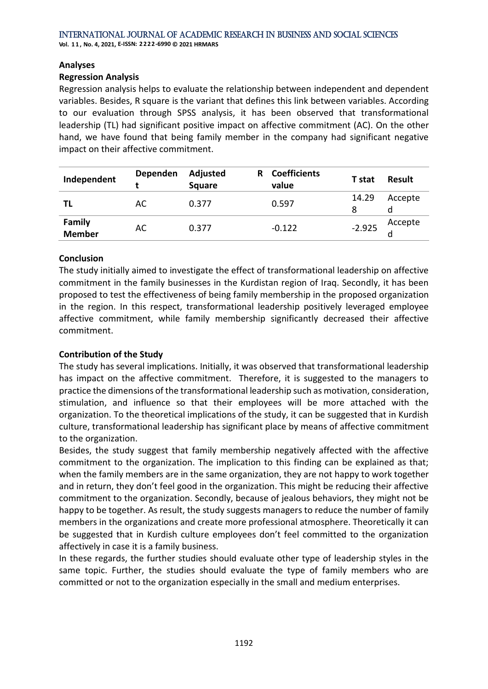**Vol. 1 1 , No. 4, 2021, E-ISSN: 2222-6990 © 2021 HRMARS**

#### **Analyses**

#### **Regression Analysis**

Regression analysis helps to evaluate the relationship between independent and dependent variables. Besides, R square is the variant that defines this link between variables. According to our evaluation through SPSS analysis, it has been observed that transformational leadership (TL) had significant positive impact on affective commitment (AC). On the other hand, we have found that being family member in the company had significant negative impact on their affective commitment.

| Independent             | Dependen | Adjusted<br><b>Square</b> | R. | <b>Coefficients</b><br>value | T stat     | <b>Result</b> |
|-------------------------|----------|---------------------------|----|------------------------------|------------|---------------|
| TL                      | AC       | 0.377                     |    | 0.597                        | 14.29<br>8 | Accepte       |
| <b>Family</b><br>Member | AC       | 0.377                     |    | $-0.122$                     | $-2.925$   | Accepte<br>d  |

#### **Conclusion**

The study initially aimed to investigate the effect of transformational leadership on affective commitment in the family businesses in the Kurdistan region of Iraq. Secondly, it has been proposed to test the effectiveness of being family membership in the proposed organization in the region. In this respect, transformational leadership positively leveraged employee affective commitment, while family membership significantly decreased their affective commitment.

#### **Contribution of the Study**

The study has several implications. Initially, it was observed that transformational leadership has impact on the affective commitment. Therefore, it is suggested to the managers to practice the dimensions of the transformational leadership such as motivation, consideration, stimulation, and influence so that their employees will be more attached with the organization. To the theoretical implications of the study, it can be suggested that in Kurdish culture, transformational leadership has significant place by means of affective commitment to the organization.

Besides, the study suggest that family membership negatively affected with the affective commitment to the organization. The implication to this finding can be explained as that; when the family members are in the same organization, they are not happy to work together and in return, they don't feel good in the organization. This might be reducing their affective commitment to the organization. Secondly, because of jealous behaviors, they might not be happy to be together. As result, the study suggests managers to reduce the number of family members in the organizations and create more professional atmosphere. Theoretically it can be suggested that in Kurdish culture employees don't feel committed to the organization affectively in case it is a family business.

In these regards, the further studies should evaluate other type of leadership styles in the same topic. Further, the studies should evaluate the type of family members who are committed or not to the organization especially in the small and medium enterprises.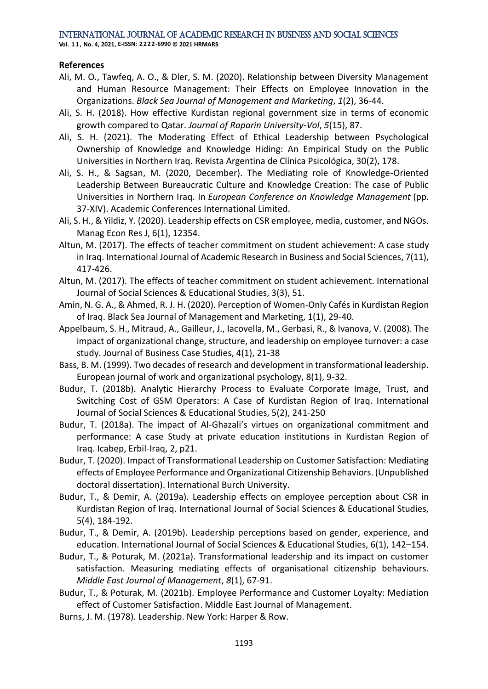**Vol. 1 1 , No. 4, 2021, E-ISSN: 2222-6990 © 2021 HRMARS**

#### **References**

- Ali, M. O., Tawfeq, A. O., & Dler, S. M. (2020). Relationship between Diversity Management and Human Resource Management: Their Effects on Employee Innovation in the Organizations. *Black Sea Journal of Management and Marketing*, *1*(2), 36-44.
- Ali, S. H. (2018). How effective Kurdistan regional government size in terms of economic growth compared to Qatar. *Journal of Raparin University-Vol*, *5*(15), 87.
- Ali, S. H. (2021). The Moderating Effect of Ethical Leadership between Psychological Ownership of Knowledge and Knowledge Hiding: An Empirical Study on the Public Universities in Northern Iraq. Revista Argentina de Clínica Psicológica, 30(2), 178.
- Ali, S. H., & Sagsan, M. (2020, December). The Mediating role of Knowledge-Oriented Leadership Between Bureaucratic Culture and Knowledge Creation: The case of Public Universities in Northern Iraq. In *European Conference on Knowledge Management* (pp. 37-XIV). Academic Conferences International Limited.
- Ali, S. H., & Yildiz, Y. (2020). Leadership effects on CSR employee, media, customer, and NGOs. Manag Econ Res J, 6(1), 12354.
- Altun, M. (2017). The effects of teacher commitment on student achievement: A case study in Iraq. International Journal of Academic Research in Business and Social Sciences, 7(11), 417-426.
- Altun, M. (2017). The effects of teacher commitment on student achievement. International Journal of Social Sciences & Educational Studies, 3(3), 51.
- Amin, N. G. A., & Ahmed, R. J. H. (2020). Perception of Women-Only Cafés in Kurdistan Region of Iraq. Black Sea Journal of Management and Marketing, 1(1), 29-40.
- Appelbaum, S. H., Mitraud, A., Gailleur, J., Iacovella, M., Gerbasi, R., & Ivanova, V. (2008). The impact of organizational change, structure, and leadership on employee turnover: a case study. Journal of Business Case Studies, 4(1), 21-38
- Bass, B. M. (1999). Two decades of research and development in transformational leadership. European journal of work and organizational psychology, 8(1), 9-32.
- Budur, T. (2018b). Analytic Hierarchy Process to Evaluate Corporate Image, Trust, and Switching Cost of GSM Operators: A Case of Kurdistan Region of Iraq. International Journal of Social Sciences & Educational Studies, 5(2), 241-250
- Budur, T. (2018a). The impact of Al-Ghazali's virtues on organizational commitment and performance: A case Study at private education institutions in Kurdistan Region of Iraq. Icabep, Erbil-Iraq, 2, p21.
- Budur, T. (2020). Impact of Transformational Leadership on Customer Satisfaction: Mediating effects of Employee Performance and Organizational Citizenship Behaviors. (Unpublished doctoral dissertation). International Burch University.
- Budur, T., & Demir, A. (2019a). Leadership effects on employee perception about CSR in Kurdistan Region of Iraq. International Journal of Social Sciences & Educational Studies, 5(4), 184-192.
- Budur, T., & Demir, A. (2019b). Leadership perceptions based on gender, experience, and education. International Journal of Social Sciences & Educational Studies, 6(1), 142–154.
- Budur, T., & Poturak, M. (2021a). Transformational leadership and its impact on customer satisfaction. Measuring mediating effects of organisational citizenship behaviours. *Middle East Journal of Management*, *8*(1), 67-91.
- Budur, T., & Poturak, M. (2021b). Employee Performance and Customer Loyalty: Mediation effect of Customer Satisfaction. Middle East Journal of Management.
- Burns, J. M. (1978). Leadership. New York: Harper & Row.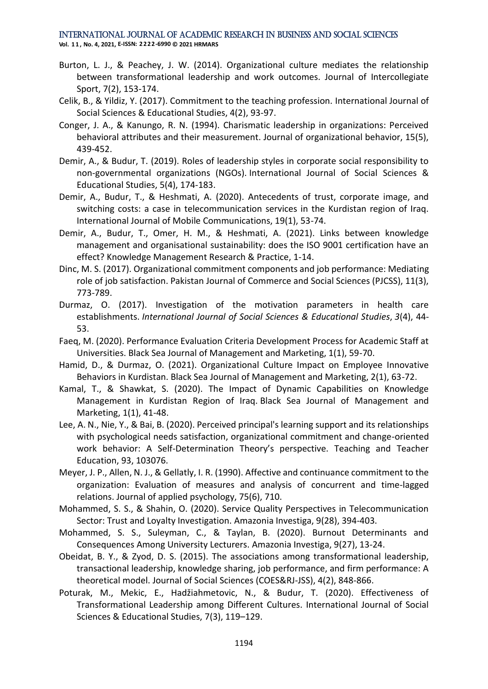**Vol. 1 1 , No. 4, 2021, E-ISSN: 2222-6990 © 2021 HRMARS**

- Burton, L. J., & Peachey, J. W. (2014). Organizational culture mediates the relationship between transformational leadership and work outcomes. Journal of Intercollegiate Sport, 7(2), 153-174.
- Celik, B., & Yildiz, Y. (2017). Commitment to the teaching profession. International Journal of Social Sciences & Educational Studies, 4(2), 93-97.
- Conger, J. A., & Kanungo, R. N. (1994). Charismatic leadership in organizations: Perceived behavioral attributes and their measurement. Journal of organizational behavior, 15(5), 439-452.
- Demir, A., & Budur, T. (2019). Roles of leadership styles in corporate social responsibility to non-governmental organizations (NGOs). International Journal of Social Sciences & Educational Studies, 5(4), 174-183.
- Demir, A., Budur, T., & Heshmati, A. (2020). Antecedents of trust, corporate image, and switching costs: a case in telecommunication services in the Kurdistan region of Iraq. International Journal of Mobile Communications, 19(1), 53-74.
- Demir, A., Budur, T., Omer, H. M., & Heshmati, A. (2021). Links between knowledge management and organisational sustainability: does the ISO 9001 certification have an effect? Knowledge Management Research & Practice, 1-14.
- Dinc, M. S. (2017). Organizational commitment components and job performance: Mediating role of job satisfaction. Pakistan Journal of Commerce and Social Sciences (PJCSS), 11(3), 773-789.
- Durmaz, O. (2017). Investigation of the motivation parameters in health care establishments. *International Journal of Social Sciences & Educational Studies*, *3*(4), 44- 53.
- Faeq, M. (2020). Performance Evaluation Criteria Development Process for Academic Staff at Universities. Black Sea Journal of Management and Marketing, 1(1), 59-70.
- Hamid, D., & Durmaz, O. (2021). Organizational Culture Impact on Employee Innovative Behaviors in Kurdistan. Black Sea Journal of Management and Marketing, 2(1), 63-72.
- Kamal, T., & Shawkat, S. (2020). The Impact of Dynamic Capabilities on Knowledge Management in Kurdistan Region of Iraq. Black Sea Journal of Management and Marketing, 1(1), 41-48.
- Lee, A. N., Nie, Y., & Bai, B. (2020). Perceived principal's learning support and its relationships with psychological needs satisfaction, organizational commitment and change-oriented work behavior: A Self-Determination Theory's perspective. Teaching and Teacher Education, 93, 103076.
- Meyer, J. P., Allen, N. J., & Gellatly, I. R. (1990). Affective and continuance commitment to the organization: Evaluation of measures and analysis of concurrent and time-lagged relations. Journal of applied psychology, 75(6), 710.
- Mohammed, S. S., & Shahin, O. (2020). Service Quality Perspectives in Telecommunication Sector: Trust and Loyalty Investigation. Amazonia Investiga, 9(28), 394-403.
- Mohammed, S. S., Suleyman, C., & Taylan, B. (2020). Burnout Determinants and Consequences Among University Lecturers. Amazonia Investiga, 9(27), 13-24.
- Obeidat, B. Y., & Zyod, D. S. (2015). The associations among transformational leadership, transactional leadership, knowledge sharing, job performance, and firm performance: A theoretical model. Journal of Social Sciences (COES&RJ-JSS), 4(2), 848-866.
- Poturak, M., Mekic, E., Hadžiahmetovic, N., & Budur, T. (2020). Effectiveness of Transformational Leadership among Different Cultures. International Journal of Social Sciences & Educational Studies, 7(3), 119–129.